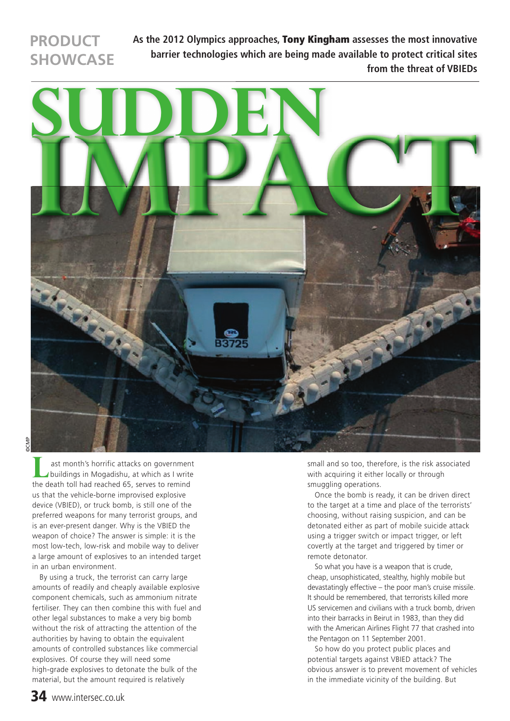# **PRODUCT SHOWCASE**

**As the 2012 Olympics approaches,** Tony Kingham **assesses the most innovative barrier technologies which are being made available to protect critical sites from the threat of VBIEDs**



©CMP

 ast month's horrific attacks on government buildings in Mogadishu, at which as I write the death toll had reached 65, serves to remind us that the vehicle-borne improvised explosive device (VBIED), or truck bomb, is still one of the preferred weapons for many terrorist groups, and is an ever-present danger. Why is the VBIED the weapon of choice? The answer is simple: it is the most low-tech, low-risk and mobile way to deliver a large amount of explosives to an intended target in an urban environment. **L**

By using a truck, the terrorist can carry large amounts of readily and cheaply available explosive component chemicals, such as ammonium nitrate fertiliser. They can then combine this with fuel and other legal substances to make a very big bomb without the risk of attracting the attention of the authorities by having to obtain the equivalent amounts of controlled substances like commercial explosives. Of course they will need some high-grade explosives to detonate the bulk of the material, but the amount required is relatively

small and so too, therefore, is the risk associated with acquiring it either locally or through smuggling operations.

Once the bomb is ready, it can be driven direct to the target at a time and place of the terrorists' choosing, without raising suspicion, and can be detonated either as part of mobile suicide attack using a trigger switch or impact trigger, or left covertly at the target and triggered by timer or remote detonator.

So what you have is a weapon that is crude, cheap, unsophisticated, stealthy, highly mobile but devastatingly effective – the poor man's cruise missile. It should be remembered, that terrorists killed more US servicemen and civilians with a truck bomb, driven into their barracks in Beirut in 1983, than they did with the American Airlines Flight 77 that crashed into the Pentagon on 11 September 2001.

So how do you protect public places and potential targets against VBIED attack? The obvious answer is to prevent movement of vehicles in the immediate vicinity of the building. But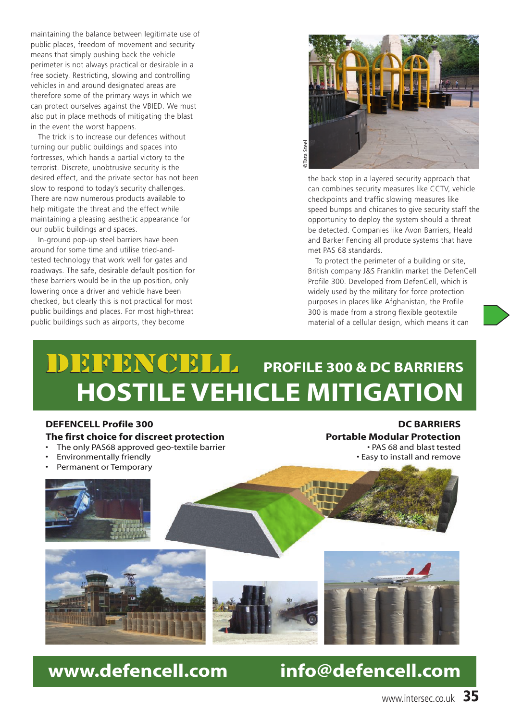maintaining the balance between legitimate use of public places, freedom of movement and security means that simply pushing back the vehicle perimeter is not always practical or desirable in a free society. Restricting, slowing and controlling vehicles in and around designated areas are therefore some of the primary ways in which we can protect ourselves against the VBIED. We must also put in place methods of mitigating the blast in the event the worst happens.

The trick is to increase our defences without turning our public buildings and spaces into fortresses, which hands a partial victory to the terrorist. Discrete, unobtrusive security is the desired effect, and the private sector has not been slow to respond to today's security challenges. There are now numerous products available to help mitigate the threat and the effect while maintaining a pleasing aesthetic appearance for our public buildings and spaces.

In-ground pop-up steel barriers have been around for some time and utilise tried-andtested technology that work well for gates and roadways. The safe, desirable default position for these barriers would be in the up position, only lowering once a driver and vehicle have been checked, but clearly this is not practical for most public buildings and places. For most high-threat public buildings such as airports, they become



the back stop in a layered security approach that can combines security measures like CCTV, vehicle checkpoints and traffic slowing measures like speed bumps and chicanes to give security staff the opportunity to deploy the system should a threat be detected. Companies like Avon Barriers, Heald and Barker Fencing all produce systems that have met PAS 68 standards.

To protect the perimeter of a building or site, British company J&S Franklin market the DefenCell Profile 300. Developed from DefenCell, which is widely used by the military for force protection purposes in places like Afghanistan, the Profile 300 is made from a strong flexible geotextile material of a cellular design, which means it can

# **DEFENCELL** PROFILE 300 & DC BARRIERS **HOSTILE VEHICLE MITIGATION**

#### **DEFENCELL Profile 300 The first choice for discreet protection**

- The only PAS68 approved geo-textile barrier
- Environmentally friendly
- Permanent or Temporary

### **DC BARRIERS**

**Portable Modular Protection** • PAS 68 and blast tested • Easy to install and remove



# **www.defencell.com info@defencell.com**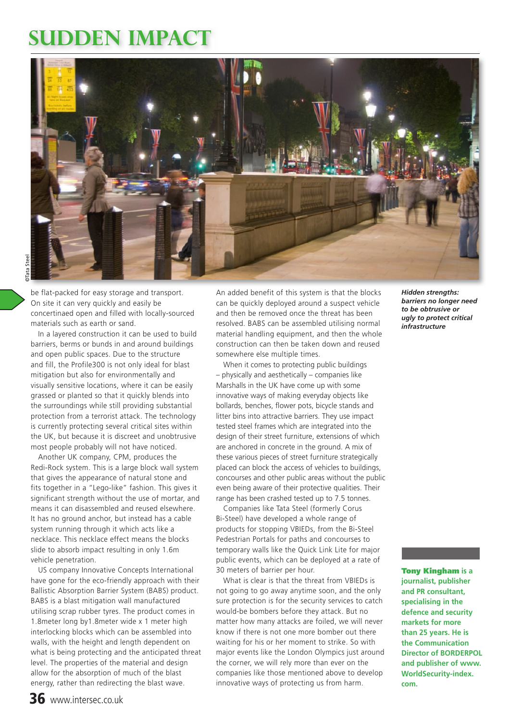# **sudden impact**



be flat-packed for easy storage and transport. On site it can very quickly and easily be concertinaed open and filled with locally-sourced materials such as earth or sand.

In a layered construction it can be used to build barriers, berms or bunds in and around buildings and open public spaces. Due to the structure and fill, the Profile300 is not only ideal for blast mitigation but also for environmentally and visually sensitive locations, where it can be easily grassed or planted so that it quickly blends into the surroundings while still providing substantial protection from a terrorist attack. The technology is currently protecting several critical sites within the UK, but because it is discreet and unobtrusive most people probably will not have noticed.

Another UK company, CPM, produces the Redi-Rock system. This is a large block wall system that gives the appearance of natural stone and fits together in a "Lego-like" fashion. This gives it significant strength without the use of mortar, and means it can disassembled and reused elsewhere. It has no ground anchor, but instead has a cable system running through it which acts like a necklace. This necklace effect means the blocks slide to absorb impact resulting in only 1.6m vehicle penetration.

US company Innovative Concepts International have gone for the eco-friendly approach with their Ballistic Absorption Barrier System (BABS) product. BABS is a blast mitigation wall manufactured utilising scrap rubber tyres. The product comes in 1.8meter long by1.8meter wide x 1 meter high interlocking blocks which can be assembled into walls, with the height and length dependent on what is being protecting and the anticipated threat level. The properties of the material and design allow for the absorption of much of the blast energy, rather than redirecting the blast wave.

An added benefit of this system is that the blocks can be quickly deployed around a suspect vehicle and then be removed once the threat has been resolved. BABS can be assembled utilising normal material handling equipment, and then the whole construction can then be taken down and reused somewhere else multiple times.

When it comes to protecting public buildings – physically and aesthetically – companies like Marshalls in the UK have come up with some innovative ways of making everyday objects like bollards, benches, flower pots, bicycle stands and litter bins into attractive barriers. They use impact tested steel frames which are integrated into the design of their street furniture, extensions of which are anchored in concrete in the ground. A mix of these various pieces of street furniture strategically placed can block the access of vehicles to buildings, concourses and other public areas without the public even being aware of their protective qualities. Their range has been crashed tested up to 7.5 tonnes.

Companies like Tata Steel (formerly Corus Bi-Steel) have developed a whole range of products for stopping VBIEDs, from the Bi-Steel Pedestrian Portals for paths and concourses to temporary walls like the Quick Link Lite for major public events, which can be deployed at a rate of 30 meters of barrier per hour.

What is clear is that the threat from VBIEDs is not going to go away anytime soon, and the only sure protection is for the security services to catch would-be bombers before they attack. But no matter how many attacks are foiled, we will never know if there is not one more bomber out there waiting for his or her moment to strike. So with major events like the London Olympics just around the corner, we will rely more than ever on the companies like those mentioned above to develop innovative ways of protecting us from harm.

*Hidden strengths: barriers no longer need to be obtrusive or ugly to protect critical infrastructure* 

Tony Kingham **is a journalist, publisher and PR consultant, specialising in the defence and security markets for more than 25 years. He is the Communication Director of BORDERPOL and publisher of www. WorldSecurity-index. com.**